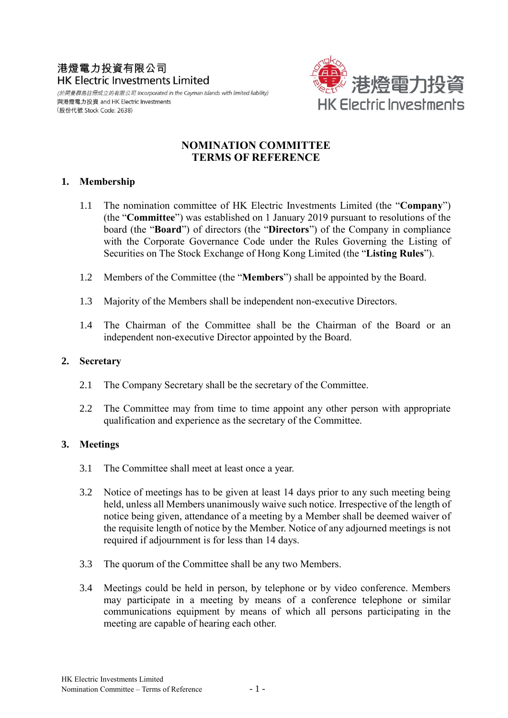# 港燈電力投資有限公司 **HK Electric Investments Limited**

(於開曼群島註冊成立的有限公司 Incorporated in the Cayman Islands with limited liability) 與港燈電力投資 and HK Electric Investments (股份代號 Stock Code: 2638)



### **NOMINATION COMMITTEE TERMS OF REFERENCE**

#### **1. Membership**

- 1.1 The nomination committee of HK Electric Investments Limited (the "**Company**") (the "**Committee**") was established on 1 January 2019 pursuant to resolutions of the board (the "**Board**") of directors (the "**Directors**") of the Company in compliance with the Corporate Governance Code under the Rules Governing the Listing of Securities on The Stock Exchange of Hong Kong Limited (the "**Listing Rules**").
- 1.2 Members of the Committee (the "**Members**") shall be appointed by the Board.
- 1.3 Majority of the Members shall be independent non-executive Directors.
- 1.4 The Chairman of the Committee shall be the Chairman of the Board or an independent non-executive Director appointed by the Board.

#### **2. Secretary**

- 2.1 The Company Secretary shall be the secretary of the Committee.
- 2.2 The Committee may from time to time appoint any other person with appropriate qualification and experience as the secretary of the Committee.

#### **3. Meetings**

- 3.1 The Committee shall meet at least once a year.
- 3.2 Notice of meetings has to be given at least 14 days prior to any such meeting being held, unless all Members unanimously waive such notice. Irrespective of the length of notice being given, attendance of a meeting by a Member shall be deemed waiver of the requisite length of notice by the Member. Notice of any adjourned meetings is not required if adjournment is for less than 14 days.
- 3.3 The quorum of the Committee shall be any two Members.
- 3.4 Meetings could be held in person, by telephone or by video conference. Members may participate in a meeting by means of a conference telephone or similar communications equipment by means of which all persons participating in the meeting are capable of hearing each other.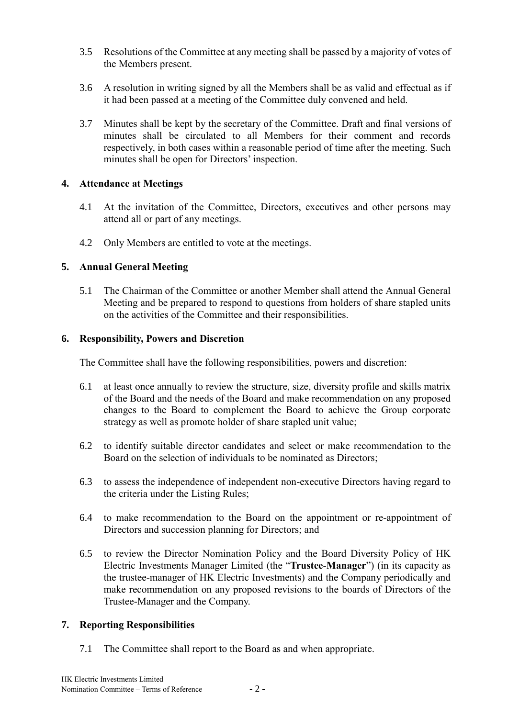- 3.5 Resolutions of the Committee at any meeting shall be passed by a majority of votes of the Members present.
- 3.6 A resolution in writing signed by all the Members shall be as valid and effectual as if it had been passed at a meeting of the Committee duly convened and held.
- 3.7 Minutes shall be kept by the secretary of the Committee. Draft and final versions of minutes shall be circulated to all Members for their comment and records respectively, in both cases within a reasonable period of time after the meeting. Such minutes shall be open for Directors' inspection.

#### **4. Attendance at Meetings**

- 4.1 At the invitation of the Committee, Directors, executives and other persons may attend all or part of any meetings.
- 4.2 Only Members are entitled to vote at the meetings.

## **5. Annual General Meeting**

5.1 The Chairman of the Committee or another Member shall attend the Annual General Meeting and be prepared to respond to questions from holders of share stapled units on the activities of the Committee and their responsibilities.

### **6. Responsibility, Powers and Discretion**

The Committee shall have the following responsibilities, powers and discretion:

- 6.1 at least once annually to review the structure, size, diversity profile and skills matrix of the Board and the needs of the Board and make recommendation on any proposed changes to the Board to complement the Board to achieve the Group corporate strategy as well as promote holder of share stapled unit value;
- 6.2 to identify suitable director candidates and select or make recommendation to the Board on the selection of individuals to be nominated as Directors;
- 6.3 to assess the independence of independent non-executive Directors having regard to the criteria under the Listing Rules;
- 6.4 to make recommendation to the Board on the appointment or re-appointment of Directors and succession planning for Directors; and
- 6.5 to review the Director Nomination Policy and the Board Diversity Policy of HK Electric Investments Manager Limited (the "**Trustee-Manager**") (in its capacity as the trustee-manager of HK Electric Investments) and the Company periodically and make recommendation on any proposed revisions to the boards of Directors of the Trustee-Manager and the Company.

#### **7. Reporting Responsibilities**

7.1 The Committee shall report to the Board as and when appropriate.